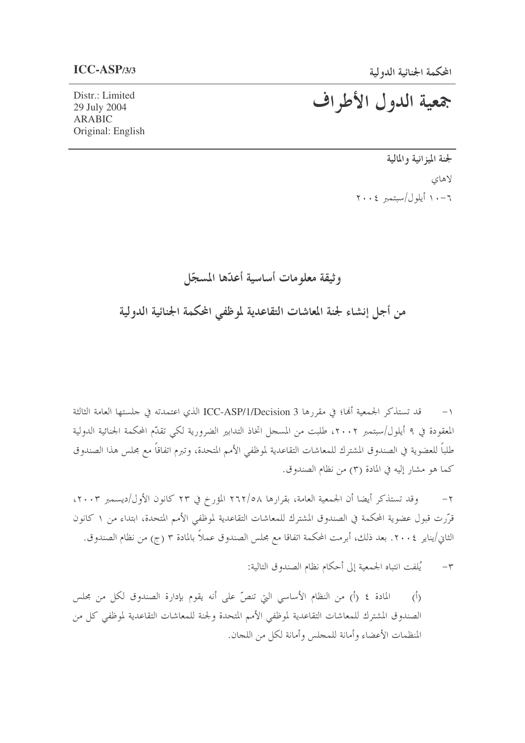Distr.: Limited 29 July 2004 **ARABIC** Original: English جمعية الدول الأطراف

لجنة الميزانية والمالية لاهاي ١٠-١١ أيلول/سبتمبر ٢٠٠٤

وثيقة معلومات أساسية أعدّها المسجّل

من أجل إنشاء لجنة المعاشات التقاعدية لموظفي المحكمة الجنائية الدولية

قد تستذكر الجمعية أُها؛ في مقررها ICC-ASP/1/Decision 3 الذي اعتمدته في جلستها العامة الثالثة  $-1$ المعقودة في ٩ أيلول/سبتمبر ٢٠٠٢، طلبت من المسجل اتخاذ التدابير الضرورية لكي تقدَّم المحكمة الجنائية الدولية طلباً للعضوية في الصندوق المشترك للمعاشات التقاعدية لموظفي الأمم المتحدة، وتبرم اتفاقاً مع مجلس هذا الصندوق كما هو مشار إليه في المادة (٣) من نظام الصندوق.

وقد تستذكر أيضا أن الجمعية العامة، بقرارها ٢٦٢/٥٨ المؤرخ في ٢٣ كانون الأول/ديسمبر ٢٠٠٣،  $-\tau$ قرَّرت قبول عضوية المحكمة في الصندوق المشترك للمعاشات التقاعدية لموظفي الأمم المتحدة، ابتداء من ١ كانون الثاني/يناير ٢٠٠٤. بعد ذلك، أبرمت المحكمة اتفاقا مع مجلس الصندوق عملاً بالمادة ٣ (ج) من نظام الصندوق.

> بُلفت انتباه الجمعية إلى أحكام نظام الصندوق التالية:  $-\tau$

المادة ٤ (أ) من النظام الأساسي التي تنصِّ على أنه يقوم بإدارة الصندوق لكل من مجلس  $\hat{(\cdot)}$ الصندوق المشترك للمعاشات التقاعدية لموظفي الأمم المتحدة ولجنة للمعاشات التقاعدية لموظفي كل من المنظمات الأعضاء وأمانة للمحلس وأمانة لكل من اللحان.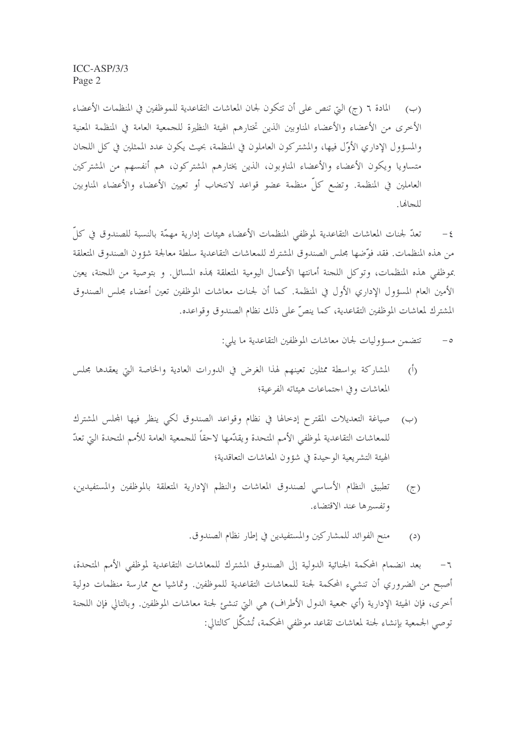(ب) المادة ٦ (ج) التي تنص على أن تتكون لجان المعاشات التقاعدية للموظفين في المنظمات الأعضاء الأخرى من الأعضاء والأعضاء المناوبين الذين تختارهم الهيئة النظيرة للجمعية العامة في المنظمة المعنية والمسؤول الإداري الأوَّل فيها، والمشتركون العاملون في المنظمة، بحيث يكون عدد الممثلين في كل اللجان متساويا ويكون الأعضاء والأعضاء المناوبون، الذين يختارهم المشتركون، هم أنفسهم من المشتركين العاملين في المنظمة. وتضع كلِّ منظمة عضو قواعد لانتخاب أو تعيين الأعضاء والأعضاء المناوبين للجاها.

تعدُّ لجنات المعاشات التقاعدية لموظفي المنظمات الأعضاء هيئات إدارية مهمَّة بالنسبة للصندوق في كلِّ  $-\xi$ من هذه المنظمات. فقد فوِّضها مجلس الصندوق المشترك للمعاشات التقاعدية سلطة معالجة شؤون الصندوق المتعلقة بموظفى هذه المنظمات، وتوكل اللجنة أمانتها الأعمال اليومية المتعلقة بمذه المسائل. و بتوصية من اللجنة، يعين الأمين العام المسؤول الإداري الأول في المنظمة. كما أن لجنات معاشات الموظفين تعين أعضاء مجلس الصندوق المشترك لمعاشات الموظفين التقاعدية، كما ينصِّ على ذلك نظام الصندوق وقواعده.

- تتضمن مسؤوليات لجان معاشات الموظفين التقاعدية ما يلي:  $-\circ$
- المشاركة بواسطة ممثلين تعينهم لهذا الغرض في الدورات العادية والخاصة التي يعقدها مجلس  $\langle \hat{D} \rangle$ المعاشات وفي اجتماعات هيئاته الفرعية؛
- (ب) صياغة التعديلات المقترح إدخالها في نظام وقواعد الصندوق لكي ينظر فيها المحلس المشترك للمعاشات التقاعدية لموظفي الأمم المتحدة ويقدّمها لاحقاً للجمعية العامة للأمم المتحدة التي تعدّ الهيئة التشريعية الوحيدة في شؤون المعاشات التعاقدية؛
- تطبيق النظام الأساسي لصندوق المعاشات والنظم الإدارية المتعلقة بالموظفين والمستفيدين،  $(7)$ وتفسيرها عند الاقتضاء.
	- منح الفوائد للمشاركين والمستفيدين في إطار نظام الصندوق.  $(2)$

بعد انضمام المحكمة الجنائية الدولية إلى الصندوق المشترك للمعاشات التقاعدية لموظفي الأمم المتحدة،  $-7$ أصبح من الضروري أن تنشىء المحكمة لجنة للمعاشات التقاعدية للموظفين. وتماشيا مع ممارسة منظمات دولية أخرى، فإن الهيئة الإدارية (أي جمعية الدول الأطراف) هي التي تنشئ لجنة معاشات الموظفين. وبالتالي فإن اللجنة توصى الجمعية بإنشاء لجنة لمعاشات تقاعد موظفي المحكمة، تُشكَّل كالتالي: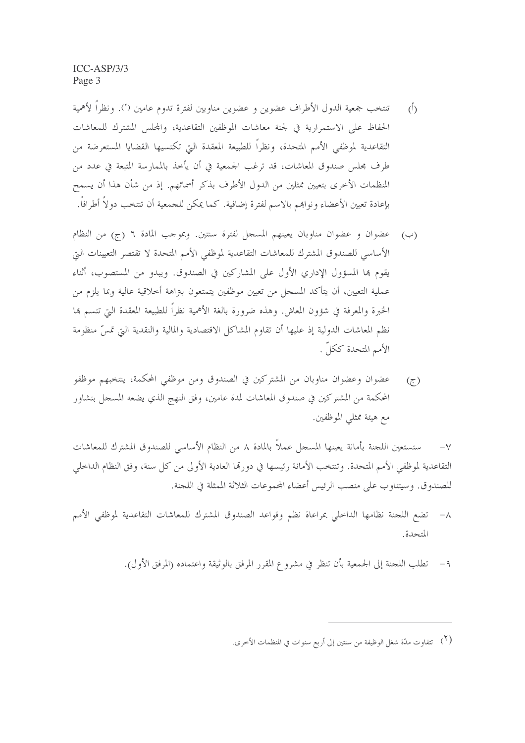تنتخب جمعية الدول الأطراف عضوين و عضوين مناوبين لفترة تدوم عامين (`). ونظراً لأهمية  $\overline{()}$ الحفاظ على الاستمرارية في لجنة معاشات الموظفين التقاعدية، والمحلس المشترك للمعاشات التقاعدية لموظفي الأمم المتحدة، ونظراً للطبيعة المعقدة التي تكتسيها القضايا المستعرضة من طرف مجلس صندوق المعاشات، قد ترغب الجمعية في أن يأخذ بالممارسة المتبعة في عدد من المنظمات الأخرى بتعيين ممثلين من الدول الأطرف بذكر أسمائهم. إذ من شأن هذا أن يسمح بإعادة تعيين الأعضاء ونوابهم بالاسم لفترة إضافية. كما يمكن للجمعية أن تنتخب دولاً أطرافاً.

- (ب) عضوان و عضوان مناوبان يعينهم المسجل لفترة سنتين. وبموجب المادة ٦ (ج) من النظام الأساسي للصندوق المشترك للمعاشات التقاعدية لموظفي الأمم المتحدة لا تقتصر التعيينات التي يقوم ها المسؤول الإداري الأول على المشاركين في الصندوق. ويبدو من المستصوب، أثناء عملية التعيين، أن يتأكد المسجل من تعيين موظفين يتمتعون بنزاهة أحلاقية عالية وبما يلزم من الخبرة والمعرفة في شؤون المعاش. وهذه ضرورة بالغة الأهمية نظراً للطبيعة المعقدة التي تتسم ها نظم المعاشات الدولية إذ عليها أن تقاوم المشاكل الاقتصادية والمالية والنقدية التي تمسِّ منظومة الأمم المتحدة ككلَّ .
- عضوان وعضوان مناوبان من المشتركين في الصندوق ومن موظفى المحكمة، ينتخبهم موظفو  $(7)$ المحكمة من المشتركين في صندوق المعاشات لمدة عامين، وفق النهج الذي يضعه المسجل بتشاور مع هيئة ممثلي الموظفين.

ستستعين اللجنة بأمانة يعينها المسجل عملاً بالمادة ٨ من النظام الأساسي للصندوق المشترك للمعاشات  $-\vee$ التقاعدية لموظفي الأمم المتحدة. وتنتخب الأمانة رئيسها في دورقما العادية الأولى من كل سنة، وفق النظام الداخلي للصندوق. وسيتناوب على منصب الرئيس أعضاء المحموعات الثلاثة الممثلة في اللحنة.

- تضع اللجنة نظامها الداخلي بمراعاة نظم وقواعد الصندوق المشترك للمعاشات التقاعدية لموظفي الأمم  $-\wedge$ المتحدة.
	- ٩ تطلب اللجنة إلى الجمعية بأن تنظر في مشروع المقرر المرفق بالوثيقة واعتماده (المرفق الأول).

<sup>&</sup>lt;sup>(٢</sup>) تتفاوت مدّة شغل الوظيفة من سنتين إلى أربع سنوات في المنظمات الأخرى.